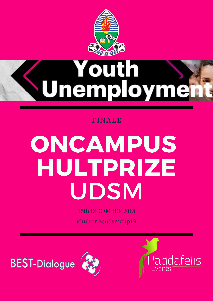

# **Vouth<br>Themployme**

**FINALE** 

# ONCAMPUS HULTPRIZE UDSM

**15th DECEMBER 2018** 

#hultprizeudsm#hp19

**BEST-Dialogue** 



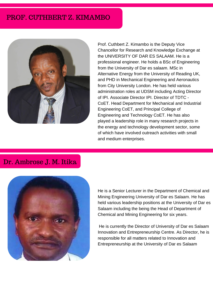## PROF. CUTHBERT Z. KIMAMBO



Prof. Cuthbert Z. Kimambo is the Deputy Vice Chancellor for Research and Knowledge Exchange at the UNIVERSITY OF DAR ES SALAAM. He is a professional engineer. He holds a BSc of Engineering from the University of Dar es salaam. MSc in Alternative Energy from the University of Reading UK, and PHD in Mechanical Engineering and Aeronautics from City University London. He has held various administration roles at UDSM including Acting Director of IPI. Associate Director IPI. Director of TDTC - CoET. Head Department for Mechanical and Industrial Engineering CoET, and Principal College of Engineering and Technology CoET. He has also played a leadership role in many research projects in the energy and technology development sector, some of which have involved outreach activities with small and medium enterprises.

## Dr. Ambrose J. M. Itika



He is a Senior Lecturer in the Department of Chemical and Mining Engineering University of Dar es Salaam. He has held various leadership positions at the University of Dar es Salaam including the being the Head of Department of Chemical and Mining Engineering for six years.

 He is currently the Director of University of Dar es Salaam Innovation and Entrepreneurship Centre. As Director, he is responsible for all matters related to Innovation and Entrepreneurship at the University of Dar es Salaam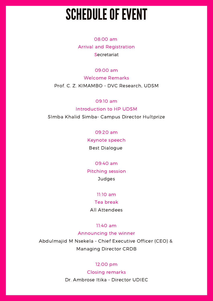# **SCHEDULE OF EVENT**

08:00 am Arrival and Registration **Secretariat** 

#### 09:00 am

Welcome Remarks Prof. C. Z. KIMAMBO - DVC Research, UDSM

#### 09:10 am

#### Introduction to HP UDSM

SImba Khalid Simba- Campus Director Hultprize

#### 09:20 am

Keynote speech

Best Dialogue

#### 09:40 am

Pitching session **Judges** 

#### 11:10 am

#### Tea break

All Attendees

#### 11:40 am

### Announcing the winner

Abdulmajid M Nsekela - Chief Executive Officer (CEO) & Managing Director CRDB

#### 12:00 pm

Closing remarks Dr. Ambrose Itika - Director UDIEC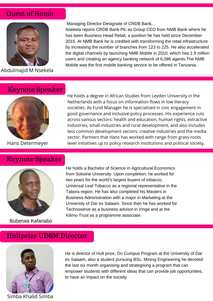## Guest of Honor



Abdulmajid M Nsekela

## Keynote Speaker



## Keynote Speaker



Buberwa Kafanabo

Managing Director Designate of CRDB Bank.

Nsekela rejoins CRDB Bank Plc as Group CEO from NMB Bank where he has been Business Head Retail, a position he has held since December 2015. At NMB Bank he is credited with transforming the retail infrastructure by increasing the number of branches from 123 to 225. He also accelerated the digital channels by launching NMB Mobile in 2010, which has 1.9 million users and creating an agency banking network of 6,086 agents.The NMB Mobile was the first mobile banking service to be offered in Tanzania.

He holds a degree in African Studies from Leyden University in the Netherlands with a focus on information flows in low literacy societies. As Fund Manager he is specialised in civic engagement in good governance and inclusive policy processes. His experience cuts across various sectors: health and education, human rights, extractive industries, small industries and rural development, and also includes less common development sectors: creative industries and the media sector. Partners that Hans has worked with range from grass-roots Hans Determeyer level initiatives up to policy research institutions and political society.

> He holds a Bachelor of Science in Agricultural Economics from Sokoine University. Upon completion, he worked for two years for the world's largest buyers of tobacco, Universal Leaf Tobacco as a regional representative in the Tabora region. He has also completed his Masters in Business Administration with a major in Marketing at the University of Dar es Salaam. Since then he has worked for Technoserve as a business advisor in Iringa and at the Kilimo Trust as a programme associate.

## Hultprize UDSM Director



He is director of Hult prize; On Cumpus Program at the University of Dar es Salaam, also a student pursuing BSc. Mining Engineering he devoted the last six month organising and strategising a program that can empower students with different ideas that can provide job opportunities, to have an impact on the society.

Simba Khalid Simba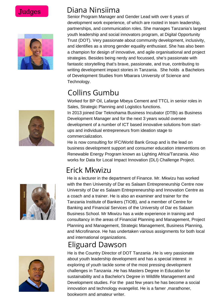

# Judges Diana Ninsiima

Senior Program Manager and Gender Lead with over 6 years of development work experience, of which are rooted in team leadership, partnerships, and communication roles. She manages Tanzania's largest youth leadership and social innovators program, at Digital Opportunity Trust (DOT). Very passionate about community development, inclusivity, and identifies as a strong gender equality enthusiast. She has also been a champion for design of innovative, and agile organisational and project strategies. Besides being nerdy and focussed, she's passionate with fantastic storytelling that's brave, passionate, and true, contributing to writing development impact stories in Tanzania. She holds a Bachelors of Development Studies from Mbarara University of Science and Technology.

# Collins Gumbu

Worked for BP Oil, Lafarge Mbeya Cement and TTCL in senior roles in Sales, Strategic Planning and Logistics functions.

In 2013 joined Dar Teknohama Business Incubator (DTBi) as Business Development Manager and for the next 3 years would oversee development of a number of ICT based innovative solutions from startups and individual entrepreneurs from ideation stage to commercialization.

He is now consulting for IFC/World Bank Group and is the lead on business development support and consumer education interventions on Renewable Energy Program known as Lighting Africa/Tanzania. Also works for Data for Local Impact Innovation (DLI) Challenge Project.

# Erick Mkwizu

He is a lecturer in the department of Finance. Mr. Mkwizu has worked with the then University of Dar es Salaam Entrepreneurship Centre now University of Dar es Salaam Entrepreneurship and Innovation Centre as a coach and a trainer. He is also an examiner and trainer for the Tanzania Institute of Bankers (TIOB), and a member of Centre for Banking and Financial Services of the University of Dar es Salaam Business School. Mr Mkwizu has a wide experience in training and consultancy in the areas of Financial Planning and Management, Project Planning and Management, Strategic Management, Business Planning, and Microfinance. He has undertaken various assignments for both local and international organizations.

# Eliguard Dawson



He is the Country Director of DOT Tanzania .He is very passionate about youth leadership development and has a special interest in exploring of youth tackle some of the most pressing development challenges in Tanzania .He has Masters Degree in Education for sustainability and a Bachelor's Degree in Wildlife Management and Development studies. For the past few years he has become a social innovation and technology evangelist. He is a famer ,marathoner, bookworm and amateur writer.

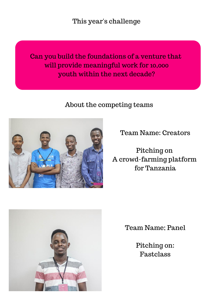This year's challenge

Can you build the foundations of a venture that will provide meaningful work for 10,000 youth within the next decade?

About the competing teams



Team Name: Creators

Pitching on A crowd-farming platform for Tanzania



Team Name; Panel

Pitching on: Fastclass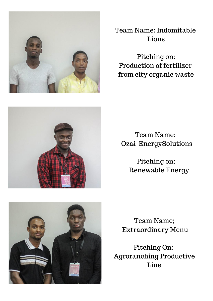

Team Name: Indomitable Lions

Pitching on: Production of fertilizer from city organic waste



Team Name: Ozai EnergySolutions

> Pitching on; Renewable Energy



Team Name; Extraordinary Menu

Pitching On: Agroranching Productive Line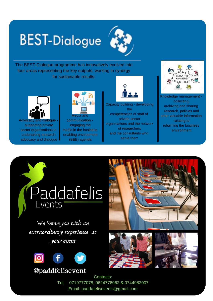# **BEST-Dialogue**



The BEST-Dialogue programme has innovatively evolved into four areas representing the key outputs, working in synergy for sustainable results:



Advocacy and dialogue supporting private sector organisations in undertaking research, advocacy and dialogue



Media and communication engaging the media in the business enabling environment (BEE) agenda



Capacity building - developing the competencies of staff of private sector organisations and the network of researchers and the consultants who serve them



Knowledge management collecting, archiving and sharing research, policies and other valuable information relating to reforming the business environment

# *Paddafelis* Events

We Serve you with an extraordinary experience at your event



@paddfelisevent



Contacts: Tel; 0719777078, 0624776962 & 0744982007 Email: paddafelisevents@gmail.com